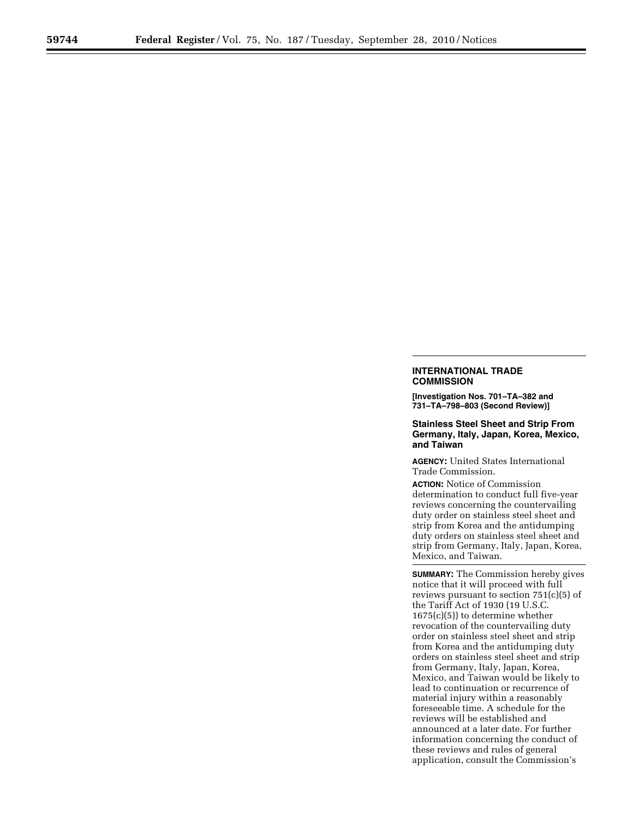## **INTERNATIONAL TRADE COMMISSION**

**[Investigation Nos. 701–TA–382 and 731–TA–798–803 (Second Review)]** 

**Stainless Steel Sheet and Strip From Germany, Italy, Japan, Korea, Mexico, and Taiwan** 

**AGENCY:** United States International Trade Commission.

**ACTION:** Notice of Commission determination to conduct full five-year reviews concerning the countervailing duty order on stainless steel sheet and strip from Korea and the antidumping duty orders on stainless steel sheet and strip from Germany, Italy, Japan, Korea, Mexico, and Taiwan.

**SUMMARY:** The Commission hereby gives notice that it will proceed with full reviews pursuant to section 751(c)(5) of the Tariff Act of 1930 (19 U.S.C. 1675(c)(5)) to determine whether revocation of the countervailing duty order on stainless steel sheet and strip from Korea and the antidumping duty orders on stainless steel sheet and strip from Germany, Italy, Japan, Korea, Mexico, and Taiwan would be likely to lead to continuation or recurrence of material injury within a reasonably foreseeable time. A schedule for the reviews will be established and announced at a later date. For further information concerning the conduct of these reviews and rules of general application, consult the Commission's